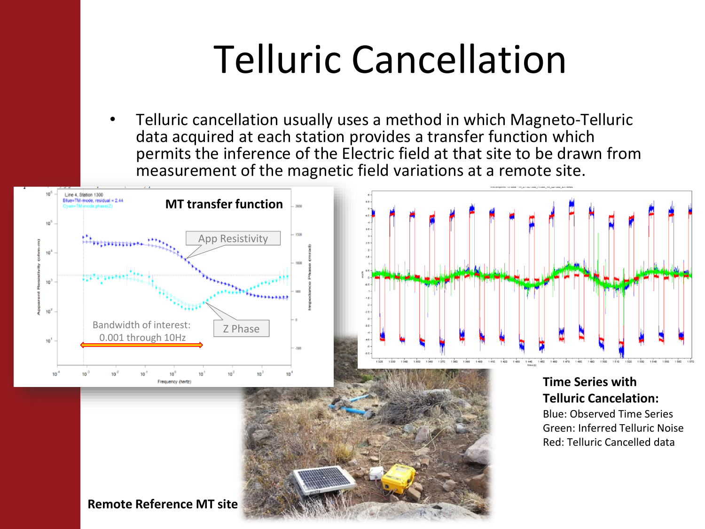## Telluric Cancellation

• Telluric cancellation usually uses a method in which Magneto-Telluric data acquired at each station provides a transfer function which permits the inference of the Electric field at that site to be drawn from measurement of the magnetic field variations at a remote site.

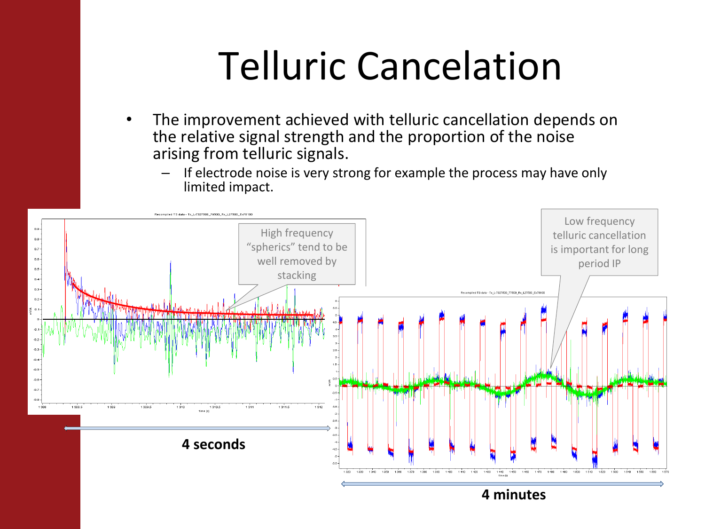## Telluric Cancelation

- The improvement achieved with telluric cancellation depends on the relative signal strength and the proportion of the noise arising from telluric signals.
	- If electrode noise is very strong for example the process may have only limited impact.